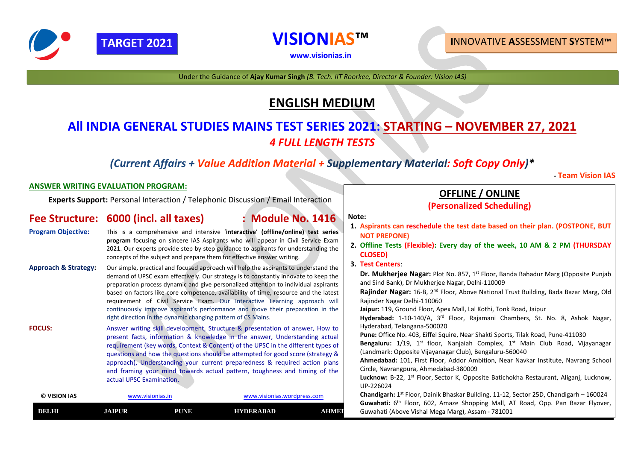# **OFFLINE / ONLINE**

# **(Personalized Scheduling)**

### **Note:**

- **1. Aspirants can reschedule the test date based on their plan. (POSTPONE, BUT NOT PREPONE)**
- **2. Offline Tests (Flexible): Every day of the week, 10 AM & 2 PM (THURSDAY CLOSED)**
- **3. Test Centers**:

**Dr. Mukherjee Nagar:** Plot No. 857, 1<sup>st</sup> Floor, Banda Bahadur Marg (Opposite Punjab and Sind Bank), Dr Mukherjee Nagar, Delhi-110009 **Rajinder Nagar:** 16-B, 2nd Floor, Above National Trust Building, Bada Bazar Marg, Old Rajinder Nagar Delhi-110060

| © VISION IAS | www.visionias.in- |             | www.visionias.wordpress.com |       | <b>Chandigarh:</b> $1^{st}$ Floor, Dainik Bhaskar Building, 11-12, Sector 25D, Chandigarh $-$ 160024                                                  |  |
|--------------|-------------------|-------------|-----------------------------|-------|-------------------------------------------------------------------------------------------------------------------------------------------------------|--|
| DELHI        | <b>AIPUR</b>      | <b>PUNE</b> | <b>HYDERABAD</b>            | AHMEI | <b>Guwahati:</b> 6 <sup>th</sup> Floor, 602, Amaze Shopping Mall, AT Road, Opp. Pan Bazar Flyove<br>Guwahati (Above Vishal Mega Marg), Assam - 781001 |  |

**Jaipur:** 119, Ground Floor, Apex Mall, Lal Kothi, Tonk Road, Jaipur **Hyderabad:** 1-10-140/A, 3rd Floor, Rajamani Chambers, St. No. 8, Ashok Nagar, Hyderabad, Telangana-500020

**Pune:** Office No. 403, Eiffel Squire, Near Shakti Sports, Tilak Road, Pune-411030 Bengaluru: 1/19, 1<sup>st</sup> floor, Nanjaiah Complex, 1<sup>st</sup> Main Club Road, Vijayanagar (Landmark: Opposite Vijayanagar Club), Bengaluru-560040 **Ahmedabad:** 101, First Floor, Addor Ambition, Near Navkar Institute, Navrang School Circle, Navrangpura, Ahmedabad-380009 Lucknow: B-22, 1<sup>st</sup> Floor, Sector K, Opposite Batichokha Restaurant, Aliganj, Lucknow, UP-226024

# **ENGLISH MEDIUM**

# **All INDIA GENERAL STUDIES MAINS TEST SERIES 2021: STARTING – NOVEMBER 27, 2021** *4 FULL LENGTH TESTS*

## *(Current Affairs + Value Addition Material + Supplementary Material: Soft Copy Only)\**

### *-* **Team Vision IAS**

### **ANSWER WRITING EVALUATION PROGRAM:**

**Experts Support:** Personal Interaction / Telephonic Discussion / Email Interaction

### **Fee Structure: 6000 (incl. all taxes) : Module No. 1416**

- **Program Objective:** This is a comprehensive and intensive '**interactive**' **(offline/online) test series program** focusing on sincere IAS Aspirants who will appear in Civil Service Exam 2021. Our experts provide step by step guidance to aspirants for understanding the concepts of the subject and prepare them for effective answer writing.
- **Approach & Strategy:** Our simple, practical and focused approach will help the aspirants to understand the demand of UPSC exam effectively. Our strategy is to constantly innovate to keep the preparation process dynamic and give personalized attention to individual aspirants based on factors like core competence, availability of time, resource and the latest requirement of Civil Service Exam. Our Interactive Learning approach will continuously improve aspirant's performance and move their preparation in the right direction in the dynamic changing pattern of CS Mains.
- **FOCUS:** Answer writing skill development, Structure & presentation of answer, How to present facts, information & knowledge in the answer, Understanding actual requirement (key words, Context & Content) of the UPSC in the different types of questions and how the questions should be attempted for good score (strategy & approach), Understanding your current preparedness & required action plans and framing your mind towards actual pattern, toughness and timing of the actual UPSC Examination.



**[www.visionias.in](http://www.visionias.in/)**

### **TARGET 2021 I**NNOVATIVE **A**SSESSMENT **S**YSTEM**™**

Under the Guidance of **Ajay Kumar Singh** *(B. Tech. IIT Roorkee, Director & Founder: Vision IAS)*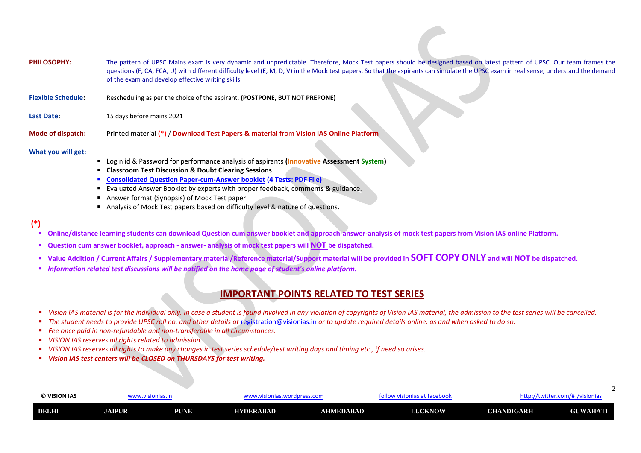| © VISION IAS | . w.visionias.in |      | www.visionias.wordpress.com |           | nttp://twitter.com/#!/visionias<br>w visionias at facebook |                   |                 |
|--------------|------------------|------|-----------------------------|-----------|------------------------------------------------------------|-------------------|-----------------|
| DELHI        | <b>JAIPUR</b>    | PUNE | <b>HYDERABAD</b>            | AHMEDABAD | <b>LUCKNOW</b>                                             | <b>CHANDIGARH</b> | <b>GUWAHATI</b> |

latest pattern of UPSC. Our team frames the GC exam in real sense, understand the demand

 $\mathcal{L}$ 

| <b>PHILOSOPHY:</b>        | The pattern of UPSC Mains exam is very dynamic and unpredictable. Therefore, Mock Test papers should be designed based on<br>questions (F, CA, FCA, U) with different difficulty level (E, M, D, V) in the Mock test papers. So that the aspirants can simulate the UPS<br>of the exam and develop effective writing skills. |  |
|---------------------------|------------------------------------------------------------------------------------------------------------------------------------------------------------------------------------------------------------------------------------------------------------------------------------------------------------------------------|--|
| <b>Flexible Schedule:</b> | Rescheduling as per the choice of the aspirant. (POSTPONE, BUT NOT PREPONE)                                                                                                                                                                                                                                                  |  |

Last Date: 15 days before mains 2021

**Mode of dispatch:** Printed material **(\*)** / **Download Test Papers & material** from **Vision IAS Online Platform**

**What you will get:**

- Login id & Password for performance analysis of aspirants (Innovative Assessment System)
- **Classroom Test Discussion & Doubt Clearing Sessions**
- **Consolidated Question Paper-cum-Answer booklet (4 Tests: PDF File)**
- Evaluated Answer Booklet by experts with proper feedback, comments & guidance.
- Answer format (Synopsis) of Mock Test paper
- Analysis of Mock Test papers based on difficulty level & nature of questions.

- Online/distance learning students can download Question cum answer booklet and approach-answer-analysis of mock test papers from Vision IAS online Platform.
- **Question cum answer booklet, approach - answer- analysis of mock test papers will NOT be dispatched.**
- **Value Addition / Current Affairs / Supplementary material/Reference material/Support material will be provided in SOFT COPY ONLY and will NOT be dispatched.**
- *Information related test discussions will be notified on the home page of student's online platform.*

- Vision IAS material is for the individual only. In case a student is found involved in any violation of copyrights of Vision IAS material, the admission to the test series will be cancelled.
- *The student needs to provide UPSC roll no. and other details at [registration@visionias.in](mailto:registration@visionias.in) or to update required details online, as and when asked to do so.*
- *Fee once paid in non-refundable and non-transferable in all circumstances.*
- *VISION IAS reserves all rights related to admission.*
- *VISION IAS reserves all rights to make any changes in test series schedule/test writing days and timing etc., if need so arises.*
- *Vision IAS test centers will be CLOSED on THURSDAYS for test writing.*

### **(\*)**

### **IMPORTANT POINTS RELATED TO TEST SERIES**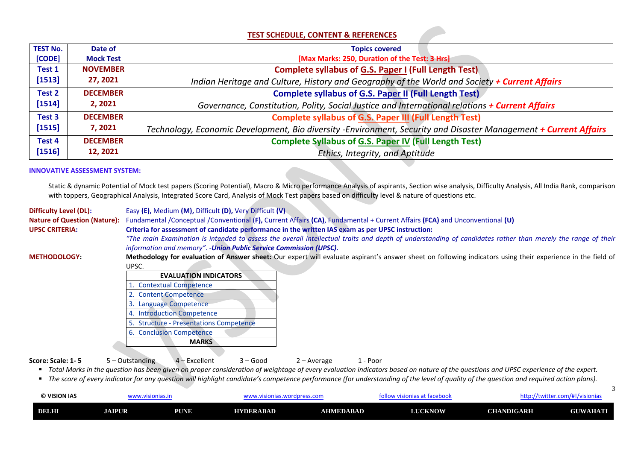3

| © VISION IAS | w.visionias.in |             | www.visionias.wordpress.com_ |           | , visionias at facebook<br><b>JIIUW</b> | http://twitter.com/#!/visionias |                 |
|--------------|----------------|-------------|------------------------------|-----------|-----------------------------------------|---------------------------------|-----------------|
| DELHI        | <b>JAIPUR</b>  | <b>PUNE</b> | <b>HYDERABAD</b>             | AHMEDABAD | <b>LUCKNOW</b>                          | <b>CHANDIGARH</b>               | <b>GUWAHATI</b> |

### **TEST SCHEDULE, CONTENT & REFERENCES**

| <b>TEST No.</b> | Date of          | <b>Topics covered</b>                                                               |
|-----------------|------------------|-------------------------------------------------------------------------------------|
| [CODE]          | <b>Mock Test</b> | [Max Marks: 250, Duration of the Test: 3 Hrs]                                       |
| <b>Test 1</b>   | <b>NOVEMBER</b>  | <b>Complete syllabus of G.S. Paper I (Full Length Test)</b>                         |
| [1513]          | 27, 2021         | Indian Heritage and Culture, History and Geography of the World and Soci            |
| Test 2          | <b>DECEMBER</b>  | <b>Complete syllabus of G.S. Paper II (Full Length Test)</b>                        |
| [1514]          | 2, 2021          | Governance, Constitution, Polity, Social Justice and International relation         |
| Test 3          | <b>DECEMBER</b>  | <b>Complete syllabus of G.S. Paper III (Full Length Test)</b>                       |
| [1515]          | 7, 2021          | Technology, Economic Development, Bio diversity -Environment, Security and Disaster |
| Test 4          | <b>DECEMBER</b>  | <b>Complete Syllabus of G.S. Paper IV (Full Length Test)</b>                        |
| [1516]          | 12, 2021         | Ethics, Integrity, and Aptitude                                                     |



*The main Examination is interded to stather than merely the range of their* $\frac{1}{2}$ 

tors using their experience in the field of



Static & dynamic Potential of Mock test papers (Scoring Potential), Macro & Micro performance Analysis of aspirants, Section wise analysis, Difficulty Analysis, All India Rank, comparison with toppers, Geographical Analysis, Integrated Score Card, Analysis of Mock Test papers based on difficulty level & nature of questions etc.

### **INNOVATIVE ASSESSMENT SYSTEM:**

| <b>Difficulty Level (DL):</b>                                | Easy (E), Medium (M), Difficult (D), Very Difficult (V).                                                                                                                                                                         |
|--------------------------------------------------------------|----------------------------------------------------------------------------------------------------------------------------------------------------------------------------------------------------------------------------------|
| <b>Nature of Question (Nature):</b><br><b>UPSC CRITERIA:</b> | Fundamental /Conceptual /Conventional (F), Current Affairs (CA), Fundamental + Current Affairs (FCA) and Unconventional (U)<br>Criteria for assessment of candidate performance in the written IAS exam as per UPSC instruction: |
|                                                              | "The main Examination is intended to assess the overall intellectual traits and depth of understanding of candidates rathe<br>information and memory". - Union Public Service Commission (UPSC).                                 |
| <b>METHODOLOGY:</b>                                          | Methodology for evaluation of Answer sheet: Our expert will evaluate aspirant's answer sheet on following indicators usin                                                                                                        |
|                                                              | UPSC.                                                                                                                                                                                                                            |
|                                                              | <b>EVALUATION INDICATORS</b>                                                                                                                                                                                                     |
|                                                              | 1. Contextual Competence                                                                                                                                                                                                         |
|                                                              | 2. Content Competence                                                                                                                                                                                                            |
|                                                              | 3. Language Competence                                                                                                                                                                                                           |
|                                                              | 4. Introduction Competence                                                                                                                                                                                                       |
|                                                              | 5. Structure - Presentations Competence                                                                                                                                                                                          |
|                                                              | 6. Conclusion Competence                                                                                                                                                                                                         |
|                                                              | <b>MARKS</b>                                                                                                                                                                                                                     |
|                                                              |                                                                                                                                                                                                                                  |
| Score: Scale: 1-5                                            | $4 - Excellent$<br>$5 - Outstanding$<br>$3 - Good$<br>$2 - Average$<br>1 - Poor                                                                                                                                                  |

■ Total Marks in the question has been given on proper consideration of weightage of every evaluation indicators based on nature of the questions and UPSC experience of the expert.

■ The score of every indicator for any question will highlight candidate's competence performance (for understanding of the level of quality of the question and required action plans).